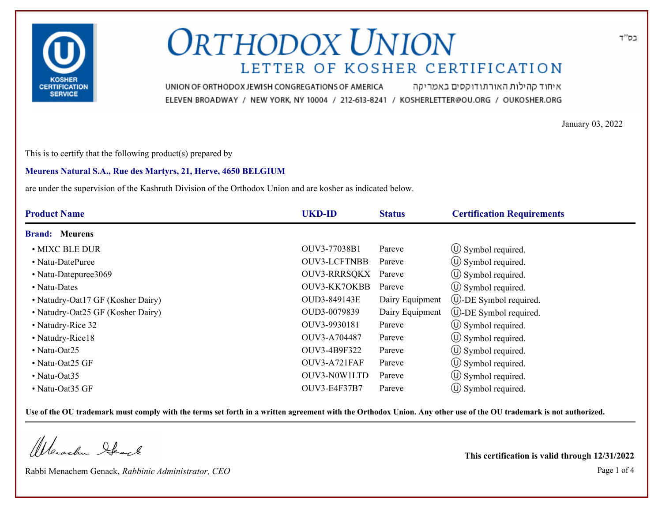

איחוד קהילות האורתודוקסים באמריקה UNION OF ORTHODOX JEWISH CONGREGATIONS OF AMERICA ELEVEN BROADWAY / NEW YORK, NY 10004 / 212-613-8241 / KOSHERLETTER@OU.ORG / OUKOSHER.ORG

January 03, 2022

This is to certify that the following product(s) prepared by

#### **Meurens Natural S.A., Rue des Martyrs, 21, Herve, 4650 BELGIUM**

are under the supervision of the Kashruth Division of the Orthodox Union and are kosher as indicated below.

| <b>Product Name</b>               | <b>UKD-ID</b>       | <b>Status</b>   | <b>Certification Requirements</b> |
|-----------------------------------|---------------------|-----------------|-----------------------------------|
| <b>Brand: Meurens</b>             |                     |                 |                                   |
| • MIXC BLE DUR                    | OUV3-77038B1        | Pareve          | $\circ$ Symbol required.          |
| • Natu-DatePuree                  | <b>OUV3-LCFTNBB</b> | Pareve          | $\circ$ Symbol required.          |
| • Natu-Datepuree3069              | <b>OUV3-RRRSQKX</b> | Pareve          | $\circ$ Symbol required.          |
| • Natu-Dates                      | <b>OUV3-KK7OKBB</b> | Pareve          | $\circled{1}$ Symbol required.    |
| • Natudry-Oat17 GF (Kosher Dairy) | OUD3-849143E        | Dairy Equipment | $\cup$ -DE Symbol required.       |
| • Natudry-Oat25 GF (Kosher Dairy) | OUD3-0079839        | Dairy Equipment | $\cup$ -DE Symbol required.       |
| • Natudry-Rice 32                 | OUV3-9930181        | Pareve          | $\circ$ Symbol required.          |
| • Natudry-Rice18                  | OUV3-A704487        | Pareve          | $\circled{1}$ Symbol required.    |
| $\cdot$ Natu-Oat25                | OUV3-4B9F322        | Pareve          | $\circ$ Symbol required.          |
| • Natu-Oat25 GF                   | OUV3-A721FAF        | Pareve          | $\circ$ Symbol required.          |
| • Natu-Oat $35$                   | OUV3-N0W1LTD        | Pareve          | $\circ$ Symbol required.          |
| • Natu-Oat35 GF                   | OUV3-E4F37B7        | Pareve          | $\circ$ Symbol required.          |

**Use of the OU trademark must comply with the terms set forth in a written agreement with the Orthodox Union. Any other use of the OU trademark is not authorized.**

Werachen Stack

Rabbi Menachem Genack, *Rabbinic Administrator, CEO* Page 1 of 4

**This certification is valid through 12/31/2022**

בס"ד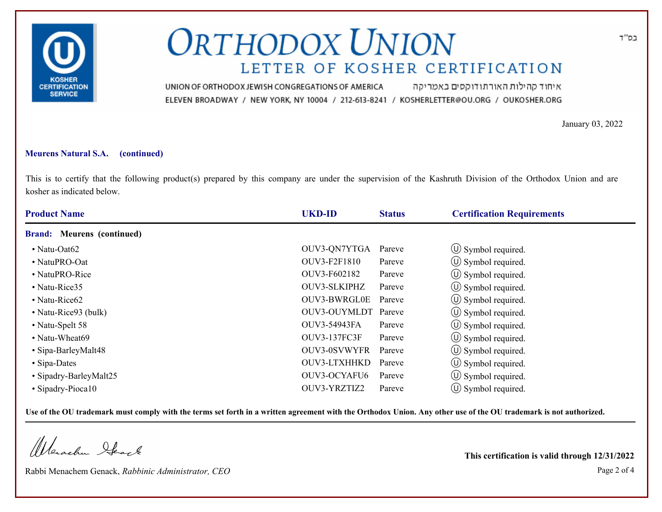

איחוד קהילות האורתודוקסים באמריקה UNION OF ORTHODOX JEWISH CONGREGATIONS OF AMERICA ELEVEN BROADWAY / NEW YORK, NY 10004 / 212-613-8241 / KOSHERLETTER@OU.ORG / OUKOSHER.ORG

January 03, 2022

### **Meurens Natural S.A. (continued)**

This is to certify that the following product(s) prepared by this company are under the supervision of the Kashruth Division of the Orthodox Union and are kosher as indicated below.

| <b>Product Name</b>               | <b>UKD-ID</b>       | <b>Status</b> | <b>Certification Requirements</b> |
|-----------------------------------|---------------------|---------------|-----------------------------------|
| <b>Brand:</b> Meurens (continued) |                     |               |                                   |
| • Natu-Oat $62$                   | OUV3-QN7YTGA        | Pareve        | $\circ$ Symbol required.          |
| • NatuPRO-Oat                     | OUV3-F2F1810        | Pareve        | $\circ$ Symbol required.          |
| • NatuPRO-Rice                    | OUV3-F602182        | Pareve        | $\circ$ Symbol required.          |
| • Natu-Rice35                     | OUV3-SLKIPHZ        | Pareve        | $\circ$ Symbol required.          |
| • Natu-Rice $62$                  | OUV3-BWRGL0E        | Pareve        | (U) Symbol required.              |
| • Natu-Rice93 (bulk)              | OUV3-OUYMLDT        | Pareve        | (U) Symbol required.              |
| • Natu-Spelt 58                   | OUV3-54943FA        | Pareve        | $\circled{1}$ Symbol required.    |
| • Natu-Wheat69                    | <b>OUV3-137FC3F</b> | Pareve        | (U) Symbol required.              |
| • Sipa-BarleyMalt48               | <b>OUV3-0SVWYFR</b> | Pareve        | $\circ$ Symbol required.          |
| • Sipa-Dates                      | OUV3-LTXHHKD        | Pareve        | $\circ$ Symbol required.          |
| • Sipadry-BarleyMalt25            | OUV3-OCYAFU6        | Pareve        | $\circ$ Symbol required.          |
| • Sipadry-Pioca10                 | OUV3-YRZTIZ2        | Pareve        | $\circ$ Symbol required.          |

**Use of the OU trademark must comply with the terms set forth in a written agreement with the Orthodox Union. Any other use of the OU trademark is not authorized.**

Werachen Stack

Rabbi Menachem Genack, *Rabbinic Administrator, CEO* Page 2 of 4

**This certification is valid through 12/31/2022**

בס"ד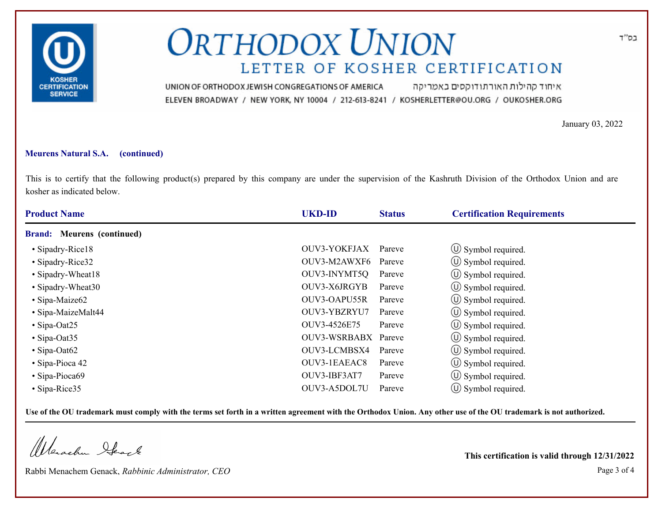

איחוד קהילות האורתודוקסים באמריקה UNION OF ORTHODOX JEWISH CONGREGATIONS OF AMERICA ELEVEN BROADWAY / NEW YORK, NY 10004 / 212-613-8241 / KOSHERLETTER@OU.ORG / OUKOSHER.ORG

January 03, 2022

### **Meurens Natural S.A. (continued)**

This is to certify that the following product(s) prepared by this company are under the supervision of the Kashruth Division of the Orthodox Union and are kosher as indicated below.

| <b>Product Name</b>               | <b>UKD-ID</b>       | <b>Status</b> | <b>Certification Requirements</b> |
|-----------------------------------|---------------------|---------------|-----------------------------------|
| <b>Brand:</b> Meurens (continued) |                     |               |                                   |
| • Sipadry-Rice18                  | OUV3-YOKFJAX        | Pareve        | $\circ$ Symbol required.          |
| • Sipadry-Rice32                  | OUV3-M2AWXF6        | Pareve        | $\circ$ Symbol required.          |
| • Sipadry-Wheat18                 | OUV3-INYMT5Q        | Pareve        | $\circled{1}$ Symbol required.    |
| • Sipadry-Wheat30                 | OUV3-X6JRGYB        | Pareve        | $\circ$ Symbol required.          |
| • Sipa-Maize62                    | OUV3-OAPU55R        | Pareve        | $\circ$ Symbol required.          |
| • Sipa-MaizeMalt44                | OUV3-YBZRYU7        | Pareve        | $(\cup)$ Symbol required.         |
| $\cdot$ Sipa-Oat25                | OUV3-4526E75        | Pareve        | $\circ$ Symbol required.          |
| $\cdot$ Sipa-Oat35                | <b>OUV3-WSRBABX</b> | Pareve        | (U) Symbol required.              |
| $\cdot$ Sipa-Oat62                | OUV3-LCMBSX4        | Pareve        | $\circ$ Symbol required.          |
| $\cdot$ Sipa-Pioca 42             | OUV3-1EAEAC8        | Pareve        | $\circ$ Symbol required.          |
| • Sipa-Pioca69                    | OUV3-IBF3AT7        | Pareve        | $\circ$ Symbol required.          |
| $\cdot$ Sipa-Rice 35              | OUV3-A5DOL7U        | Pareve        | $\cup$ Symbol required.           |

**Use of the OU trademark must comply with the terms set forth in a written agreement with the Orthodox Union. Any other use of the OU trademark is not authorized.**

Werachen Stack

Rabbi Menachem Genack, *Rabbinic Administrator, CEO* Page 3 of 4

**This certification is valid through 12/31/2022**

בס"ד